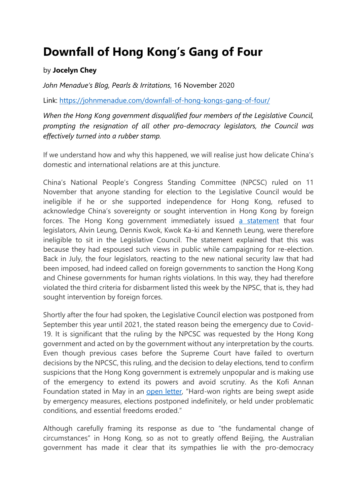## **Downfall of Hong Kong's Gang of Four**

## by **Jocelyn Chey**

*John Menadue's Blog, Pearls & Irritations*, 16 November 2020

Link: <https://johnmenadue.com/downfall-of-hong-kongs-gang-of-four/>

*When the Hong Kong government disqualified four members of the Legislative Council, prompting the resignation of all other pro-democracy legislators, the Council was effectively turned into a rubber stamp.*

If we understand how and why this happened, we will realise just how delicate China's domestic and international relations are at this juncture.

China's National People's Congress Standing Committee (NPCSC) ruled on 11 November that anyone standing for election to the Legislative Council would be ineligible if he or she supported independence for Hong Kong, refused to acknowledge China's sovereignty or sought intervention in Hong Kong by foreign forces. The Hong Kong government immediately issued [a statement](https://www.info.gov.hk/gia/general/202011/11/P2020111100779.htm) that four legislators, Alvin Leung, Dennis Kwok, Kwok Ka-ki and Kenneth Leung, were therefore ineligible to sit in the Legislative Council. The statement explained that this was because they had espoused such views in public while campaigning for re-election. Back in July, the four legislators, reacting to the new national security law that had been imposed, had indeed called on foreign governments to sanction the Hong Kong and Chinese governments for human rights violations. In this way, they had therefore violated the third criteria for disbarment listed this week by the NPSC, that is, they had sought intervention by foreign forces.

Shortly after the four had spoken, the Legislative Council election was postponed from September this year until 2021, the stated reason being the emergency due to Covid-19. It is significant that the ruling by the NPCSC was requested by the Hong Kong government and acted on by the government without any interpretation by the courts. Even though previous cases before the Supreme Court have failed to overturn decisions by the NPCSC, this ruling, and the decision to delay elections, tend to confirm suspicions that the Hong Kong government is extremely unpopular and is making use of the emergency to extend its powers and avoid scrutiny. As the Kofi Annan Foundation stated in May in an [open letter,](https://www.kofiannanfoundation.org/electoral-integrity/open-letter-democracy-must-not-become-the-silent-victim-of-the-coronavirus-pandemic/) "Hard-won rights are being swept aside by emergency measures, elections postponed indefinitely, or held under problematic conditions, and essential freedoms eroded."

Although carefully framing its response as due to "the fundamental change of circumstances" in Hong Kong, so as not to greatly offend Beijing, the Australian government has made it clear that its sympathies lie with the pro-democracy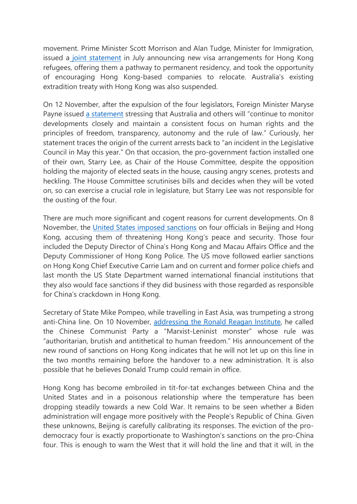movement. Prime Minister Scott Morrison and Alan Tudge, Minister for Immigration, issued a [joint statement](https://minister.homeaffairs.gov.au/alantudge/Pages/hong-kong-visa-arrangement-20200709.aspx) in July announcing new visa arrangements for Hong Kong refugees, offering them a pathway to permanent residency, and took the opportunity of encouraging Hong Kong-based companies to relocate. Australia's existing extradition treaty with Hong Kong was also suspended.

On 12 November, after the expulsion of the four legislators, Foreign Minister Maryse Payne issued [a statement](https://www.foreignminister.gov.au/minister/marise-payne/media-release/statement-hong-kong-2) stressing that Australia and others will "continue to monitor developments closely and maintain a consistent focus on human rights and the principles of freedom, transparency, autonomy and the rule of law." Curiously, her statement traces the origin of the current arrests back to "an incident in the Legislative Council in May this year." On that occasion, the pro-government faction installed one of their own, Starry Lee, as Chair of the House Committee, despite the opposition holding the majority of elected seats in the house, causing angry scenes, protests and heckling. The House Committee scrutinises bills and decides when they will be voted on, so can exercise a crucial role in legislature, but Starry Lee was not responsible for the ousting of the four.

There are much more significant and cogent reasons for current developments. On 8 November, the [United States imposed sanctions](https://www.reuters.com/article/us-usa-china-hongkong/us-imposes-sanctions-on-four-chinese-officials-over-hong-kong-crackdown-idUSKBN27P2F2) on four officials in Beijing and Hong Kong, accusing them of threatening Hong Kong's peace and security. Those four included the Deputy Director of China's Hong Kong and Macau Affairs Office and the Deputy Commissioner of Hong Kong Police. The US move followed earlier sanctions on Hong Kong Chief Executive Carrie Lam and on current and former police chiefs and last month the US State Department warned international financial institutions that they also would face sanctions if they did business with those regarded as responsible for China's crackdown in Hong Kong.

Secretary of State Mike Pompeo, while travelling in East Asia, was trumpeting a strong anti-China line. On 10 November, [addressing the Ronald Reagan Institute,](https://www.c-span.org/video/?477963-1/secretary-state-pompeo-promoting-democracy) he called the Chinese Communist Party a "Marxist-Leninist monster" whose rule was "authoritarian, brutish and antithetical to human freedom." His announcement of the new round of sanctions on Hong Kong indicates that he will not let up on this line in the two months remaining before the handover to a new administration. It is also possible that he believes Donald Trump could remain in office.

Hong Kong has become embroiled in tit-for-tat exchanges between China and the United States and in a poisonous relationship where the temperature has been dropping steadily towards a new Cold War. It remains to be seen whether a Biden administration will engage more positively with the People's Republic of China. Given these unknowns, Beijing is carefully calibrating its responses. The eviction of the prodemocracy four is exactly proportionate to Washington's sanctions on the pro-China four. This is enough to warn the West that it will hold the line and that it will, in the